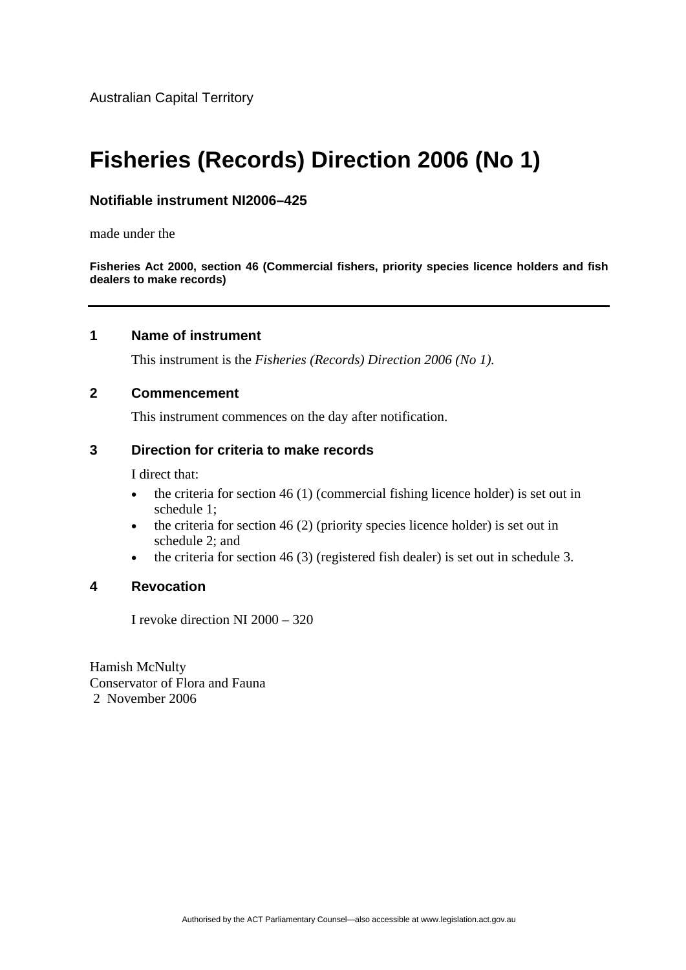Australian Capital Territory

# **Fisheries (Records) Direction 2006 (No 1)**

# **Notifiable instrument NI2006–425**

made under the

**Fisheries Act 2000, section 46 (Commercial fishers, priority species licence holders and fish dealers to make records)**

## **1 Name of instrument**

This instrument is the *Fisheries (Records) Direction 2006 (No 1).*

#### **2 Commencement**

This instrument commences on the day after notification.

## **3 Direction for criteria to make records**

I direct that:

- the criteria for section  $46(1)$  (commercial fishing licence holder) is set out in schedule 1;
- the criteria for section 46 (2) (priority species licence holder) is set out in schedule 2; and
- the criteria for section 46 (3) (registered fish dealer) is set out in schedule 3.

## **4 Revocation**

I revoke direction NI 2000 – 320

Hamish McNulty Conservator of Flora and Fauna 2 November 2006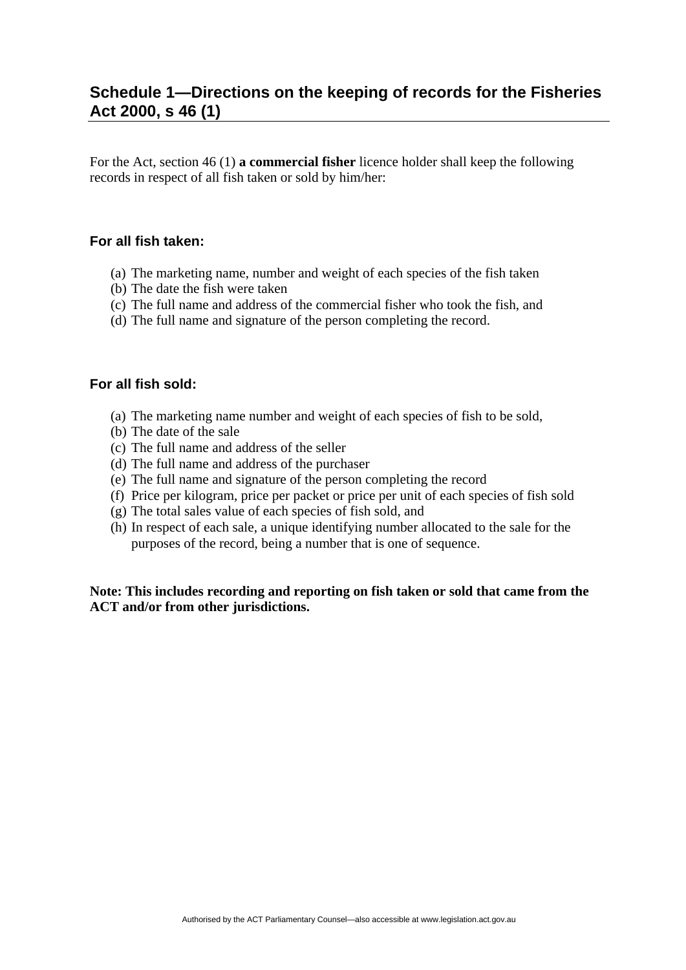# **Schedule 1—Directions on the keeping of records for the Fisheries Act 2000, s 46 (1)**

For the Act, section 46 (1) **a commercial fisher** licence holder shall keep the following records in respect of all fish taken or sold by him/her:

# **For all fish taken:**

- (a) The marketing name, number and weight of each species of the fish taken
- (b) The date the fish were taken
- (c) The full name and address of the commercial fisher who took the fish, and
- (d) The full name and signature of the person completing the record.

#### **For all fish sold:**

- (a) The marketing name number and weight of each species of fish to be sold,
- (b) The date of the sale
- (c) The full name and address of the seller
- (d) The full name and address of the purchaser
- (e) The full name and signature of the person completing the record
- (f) Price per kilogram, price per packet or price per unit of each species of fish sold
- (g) The total sales value of each species of fish sold, and
- (h) In respect of each sale, a unique identifying number allocated to the sale for the purposes of the record, being a number that is one of sequence.

**Note: This includes recording and reporting on fish taken or sold that came from the ACT and/or from other jurisdictions.**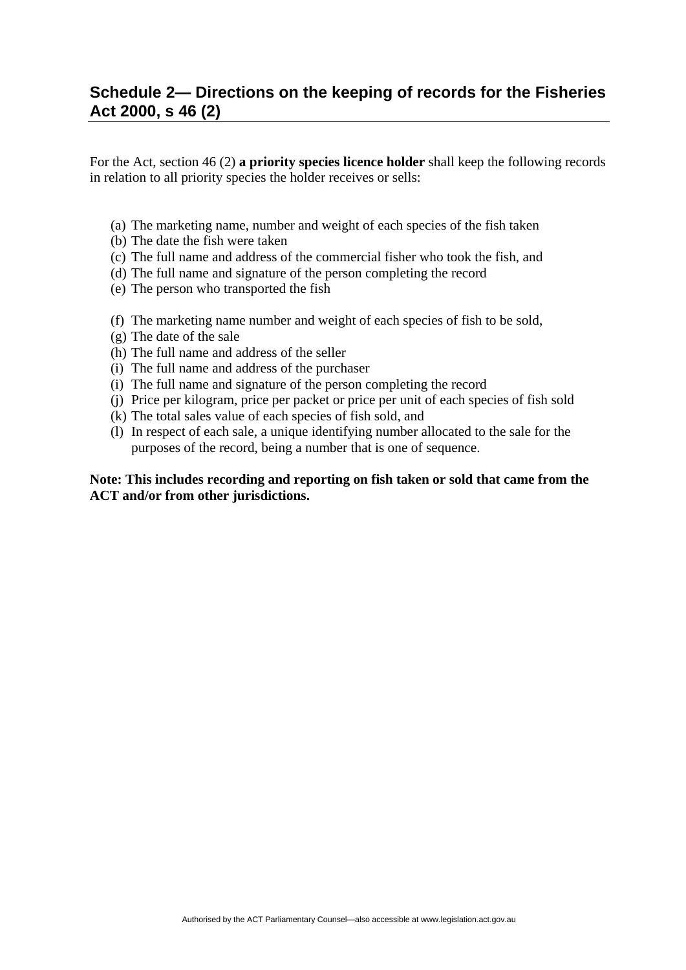# **Schedule 2— Directions on the keeping of records for the Fisheries Act 2000, s 46 (2)**

For the Act, section 46 (2) **a priority species licence holder** shall keep the following records in relation to all priority species the holder receives or sells:

- (a) The marketing name, number and weight of each species of the fish taken
- (b) The date the fish were taken
- (c) The full name and address of the commercial fisher who took the fish, and
- (d) The full name and signature of the person completing the record
- (e) The person who transported the fish
- (f) The marketing name number and weight of each species of fish to be sold,
- (g) The date of the sale
- (h) The full name and address of the seller
- (i) The full name and address of the purchaser
- (i) The full name and signature of the person completing the record
- (j) Price per kilogram, price per packet or price per unit of each species of fish sold
- (k) The total sales value of each species of fish sold, and
- (l) In respect of each sale, a unique identifying number allocated to the sale for the purposes of the record, being a number that is one of sequence.

#### **Note: This includes recording and reporting on fish taken or sold that came from the ACT and/or from other jurisdictions.**